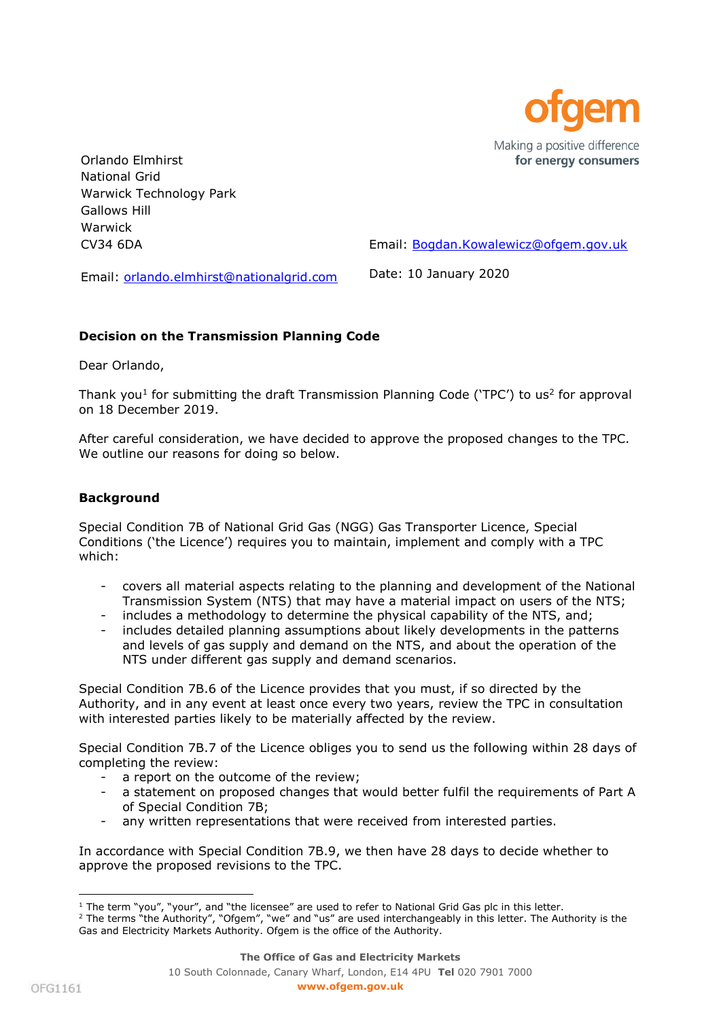

Orlando Elmhirst National Grid Warwick Technology Park Gallows Hill Warwick CV34 6DA

Email: [Bogdan.Kowalewicz@ofgem.gov.uk](mailto:Bogdan.Kowalewicz@ofgem.gov.uk)

Email: [orlando.elmhirst@nationalgrid.com](mailto:orlando.elmhirst@nationalgrid.com)

Date: 10 January 2020

# **Decision on the Transmission Planning Code**

Dear Orlando,

Thank you<sup>1</sup> for submitting the draft Transmission Planning Code ('TPC') to us<sup>2</sup> for approval on 18 December 2019.

After careful consideration, we have decided to approve the proposed changes to the TPC. We outline our reasons for doing so below.

## **Background**

Special Condition 7B of National Grid Gas (NGG) Gas Transporter Licence, Special Conditions ('the Licence') requires you to maintain, implement and comply with a TPC which:

- covers all material aspects relating to the planning and development of the National Transmission System (NTS) that may have a material impact on users of the NTS;
- includes a methodology to determine the physical capability of the NTS, and;
- includes detailed planning assumptions about likely developments in the patterns and levels of gas supply and demand on the NTS, and about the operation of the NTS under different gas supply and demand scenarios.

Special Condition 7B.6 of the Licence provides that you must, if so directed by the Authority, and in any event at least once every two years, review the TPC in consultation with interested parties likely to be materially affected by the review.

Special Condition 7B.7 of the Licence obliges you to send us the following within 28 days of completing the review:

- a report on the outcome of the review;
- a statement on proposed changes that would better fulfil the requirements of Part A of Special Condition 7B;
- any written representations that were received from interested parties.

In accordance with Special Condition 7B.9, we then have 28 days to decide whether to approve the proposed revisions to the TPC.

ł  $1$  The term "you", "your", and "the licensee" are used to refer to National Grid Gas plc in this letter.

<sup>&</sup>lt;sup>2</sup> The terms "the Authority", "Ofgem", "we" and "us" are used interchangeably in this letter. The Authority is the Gas and Electricity Markets Authority. Ofgem is the office of the Authority.